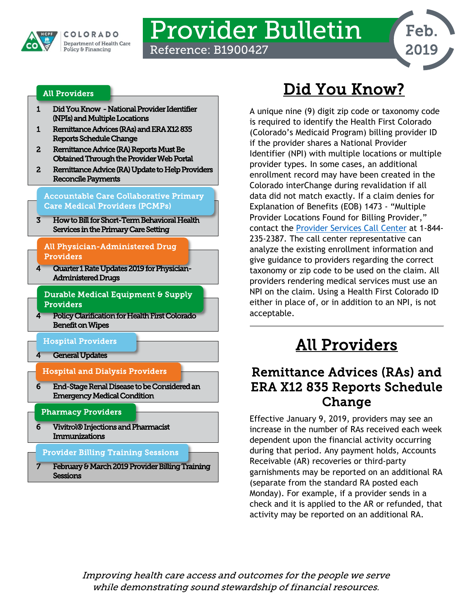

# Provider Bulletin

Reference: B1900427



#### [All Providers](#page-0-2)

- [1 Did You Know -](#page-0-0) National Provider Identifier (NPIs) and Multiple Locations
- [1 Remittance Advices \(RAs\) and ERA X12 835](#page-0-1)  [Reports Schedule Change](#page-0-1)
- [2 Remittance Advice \(RA\) Reports Must Be](#page-1-0)  [Obtained Through the Provider Web Portal](#page-1-0)
- [2 Remittance Advice \(RA\) Update to Help Providers](#page-1-1)  [Reconcile Payments](#page-1-1)

[Accountable Care Collaborative Primary](#page-2-1)  [Care Medical Providers \(PCMPs\)](#page-2-1) 

[3 How to Bill for Short-Term Behavioral Health](#page-2-0)  [Services in the Primary Care Setting](#page-2-0) 

#### [All Physician-Administered Drug](#page-3-4)  [Providers](#page-3-4)

[4 Quarter 1 Rate Updates 2019 for Physician-](#page-3-0)[Administered Drugs](#page-3-0) 

[Durable Medical Equipment & Supply](#page-3-3)  [Providers](#page-3-3) 

- [4 Policy Clarification for Health First Colorado](#page-3-1)  [Benefit on Wipes](#page-3-1) 
	- [Hospital Providers](#page-3-5)
	- **General Updates**

l

[Hospital and Dialysis Providers](#page-5-2) 

[6 End-Stage Renal Disease to be Considered an](#page-5-0)  [Emergency Medical Condition](#page-5-0)   $6<sup>7</sup>$ 

#### [Pharmacy Providers](#page-5-3)

[6 Vivitrol® Injections and Pharmacist](#page-5-1)  [Immunizations](#page-5-1)  6

#### [Provider Billing Training Sessions](#page-6-1)

[7 February & March 2019 Provider Billing Training](#page-6-0)  **Sessions** ı

# Did You Know?

<span id="page-0-0"></span>A unique nine (9) digit zip code or taxonomy code is required to identify the Health First Colorado (Colorado's Medicaid Program) billing provider ID if the provider shares a National Provider Identifier (NPI) with multiple locations or multiple provider types. In some cases, an additional enrollment record may have been created in the Colorado interChange during revalidation if all data did not match exactly. If a claim denies for Explanation of Benefits (EOB) 1473 - "Multiple Provider Locations Found for Billing Provider," contact the [Provider Services Call Center](https://www.colorado.gov/pacific/sites/default/files/Provider%20Call%20Center%20Cheat%20Sheet.pdf) at 1-844- 235-2387. The call center representative can analyze the existing enrollment information and give guidance to providers regarding the correct taxonomy or zip code to be used on the claim. All providers rendering medical services must use an NPI on the claim. Using a Health First Colorado ID either in place of, or in addition to an NPI, is not acceptable.

# All Providers

### <span id="page-0-2"></span><span id="page-0-1"></span>Remittance Advices (RAs) and ERA X12 835 Reports Schedule Change

Effective January 9, 2019, providers may see an increase in the number of RAs received each week dependent upon the financial activity occurring during that period. Any payment holds, Accounts Receivable (AR) recoveries or third-party garnishments may be reported on an additional RA (separate from the standard RA posted each Monday). For example, if a provider sends in a check and it is applied to the AR or refunded, that activity may be reported on an additional RA.

Improving health care access and outcomes for the people we serve while demonstrating sound stewardship of financial resources.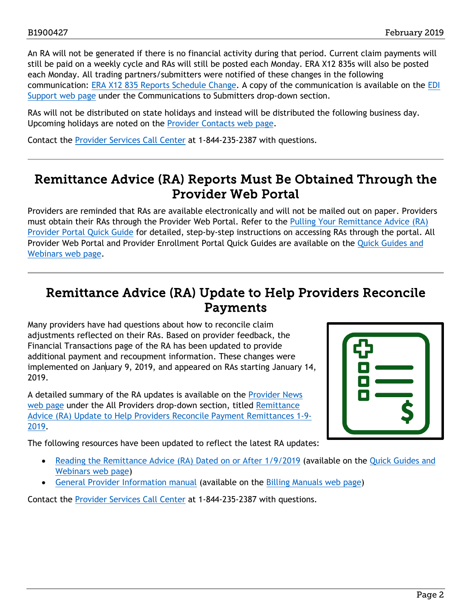An RA will not be generated if there is no financial activity during that period. Current claim payments will still be paid on a weekly cycle and RAs will still be posted each Monday. ERA X12 835s will also be posted each Monday. All trading partners/submitters were notified of these changes in the following communication: [ERA X12 835 Reports Schedule Change.](https://www.colorado.gov/pacific/sites/default/files/ERA%20X12%20835%20Reports%20Schedule%20Change%201-8-2019.pdf) A copy of the communication is available on the [EDI](https://www.colorado.gov/pacific/hcpf/edi-support)  [Support web page](https://www.colorado.gov/pacific/hcpf/edi-support) under the Communications to Submitters drop-down section.

RAs will not be distributed on state holidays and instead will be distributed the following business day. Upcoming holidays are noted on the [Provider Contacts web page.](https://www.colorado.gov/hcpf/provider-help)

Contact the [Provider Services Call Center](https://www.colorado.gov/pacific/sites/default/files/Provider%20Call%20Center%20Cheat%20Sheet.pdf) at 1-844-235-2387 with questions.

### <span id="page-1-0"></span>Remittance Advice (RA) Reports Must Be Obtained Through the Provider Web Portal

Providers are reminded that RAs are available electronically and will not be mailed out on paper. Providers must obtain their RAs through the Provider Web Portal. Refer to the [Pulling Your Remittance Advice \(RA\)](https://www.colorado.gov/pacific/sites/default/files/Pull%20your%20RA%20022718.pdf)  [Provider Portal Quick Guide](https://www.colorado.gov/pacific/sites/default/files/Pull%20your%20RA%20022718.pdf) for detailed, step-by-step instructions on accessing RAs through the portal. All Provider Web Portal and Provider Enrollment Portal Quick Guides are available on the [Quick Guides and](https://www.colorado.gov/hcpf/interchange-resources)  [Webinars web page.](https://www.colorado.gov/hcpf/interchange-resources)

### <span id="page-1-1"></span>Remittance Advice (RA) Update to Help Providers Reconcile Payments

Many providers have had questions about how to reconcile claim adjustments reflected on their RAs. Based on provider feedback, the Financial Transactions page of the RA has been updated to provide additional payment and recoupment information. These changes were implemented on January 9, 2019, and appeared on RAs starting January 14, 2019.

A detailed summary of the RA updates is available on the [Provider News](https://www.colorado.gov/pacific/hcpf/provider-news)  [web page](https://www.colorado.gov/pacific/hcpf/provider-news) under the All Providers drop-down section, titled [Remittance](https://www.colorado.gov/pacific/sites/default/files/Remittance%20Advice%20%28RA%29%20Update%20to%20Help%20Providers%20Reconcile%20Payment%20Remittances%201-9-2019.pdf)  [Advice \(RA\) Update to Help Providers Reconcile Payment Remittances 1-9-](https://www.colorado.gov/pacific/sites/default/files/Remittance%20Advice%20%28RA%29%20Update%20to%20Help%20Providers%20Reconcile%20Payment%20Remittances%201-9-2019.pdf) [2019.](https://www.colorado.gov/pacific/sites/default/files/Remittance%20Advice%20%28RA%29%20Update%20to%20Help%20Providers%20Reconcile%20Payment%20Remittances%201-9-2019.pdf)

The following resources have been updated to reflect the latest RA updates:



- [Reading the Remittance Advice \(RA\) Dated on or After 1/9/2019](https://www.colorado.gov/pacific/sites/default/files/Reading%20the%20Remittance%20Advice%20Dated%20on%20or%20After%2001092019%20v1.pdf) (available on the Quick Guides and [Webinars web page\)](https://www.colorado.gov/pacific/hcpf/interchange-resources)
- [General Provider Information manual](https://www.colorado.gov/pacific/sites/default/files/General_Provider_Information%20v2_3.pdf) (available on the [Billing Manuals web page\)](https://www.colorado.gov/pacific/hcpf/billing-manuals)

Contact the [Provider Services Call Center](https://www.colorado.gov/pacific/sites/default/files/Provider%20Call%20Center%20Cheat%20Sheet.pdf) at 1-844-235-2387 with questions.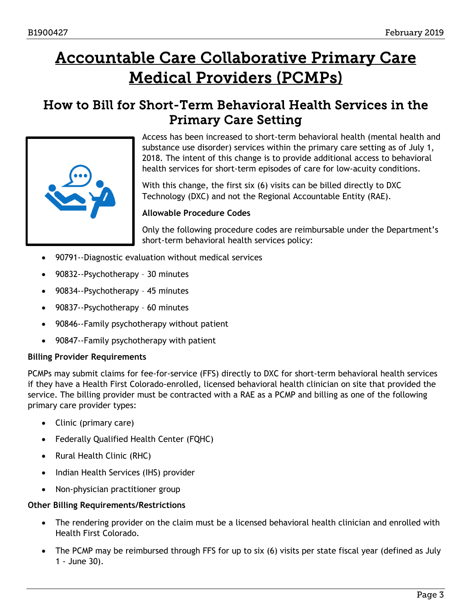# <span id="page-2-1"></span>Accountable Care Collaborative Primary Care Medical Providers (PCMPs)

### <span id="page-2-0"></span>How to Bill for Short-Term Behavioral Health Services in the Primary Care Setting



Access has been increased to short-term behavioral health (mental health and substance use disorder) services within the primary care setting as of July 1, 2018. The intent of this change is to provide additional access to behavioral health services for short-term episodes of care for low-acuity conditions.

With this change, the first six (6) visits can be billed directly to DXC Technology (DXC) and not the Regional Accountable Entity (RAE).

#### **Allowable Procedure Codes**

Only the following procedure codes are reimbursable under the Department's short-term behavioral health services policy:

- 90791--Diagnostic evaluation without medical services
- 90832--Psychotherapy 30 minutes
- 90834--Psychotherapy 45 minutes
- 90837--Psychotherapy 60 minutes
- 90846--Family psychotherapy without patient
- 90847--Family psychotherapy with patient

#### **Billing Provider Requirements**

PCMPs may submit claims for fee-for-service (FFS) directly to DXC for short-term behavioral health services if they have a Health First Colorado-enrolled, licensed behavioral health clinician on site that provided the service. The billing provider must be contracted with a RAE as a PCMP and billing as one of the following primary care provider types:

- Clinic (primary care)
- Federally Qualified Health Center (FQHC)
- Rural Health Clinic (RHC)
- Indian Health Services (IHS) provider
- Non-physician practitioner group

#### **Other Billing Requirements/Restrictions**

- The rendering provider on the claim must be a licensed behavioral health clinician and enrolled with Health First Colorado.
- The PCMP may be reimbursed through FFS for up to six (6) visits per state fiscal year (defined as July 1 - June 30).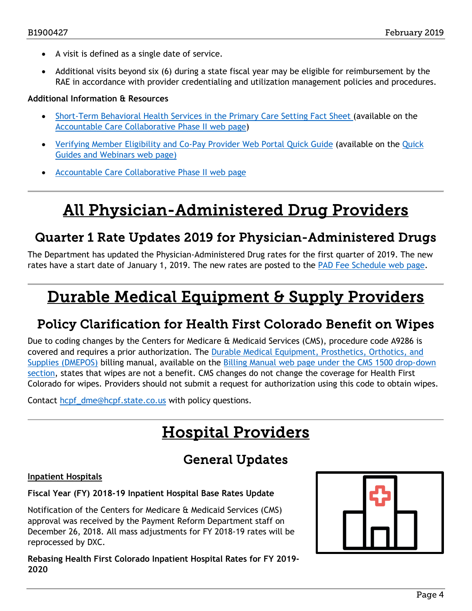- A visit is defined as a single date of service.
- Additional visits beyond six (6) during a state fiscal year may be eligible for reimbursement by the RAE in accordance with provider credentialing and utilization management policies and procedures.

#### **Additional Information & Resources**

- [Short-Term Behavioral Health Services in the Primary Care Setting Fact Sheet](https://www.colorado.gov/pacific/sites/default/files/Short-term%20Behavioral%20Health%20Services%20in%20Primary%20Care%20Fact%20Sheet%20Jan%202019.pdf) (available on the [Accountable Care Collaborative Phase II web page\)](https://www.colorado.gov/HCPF/ACCPhase2)
- [Verifying Member Eligibility and Co-Pay Provider Web Portal Quick Guide](https://www.colorado.gov/pacific/sites/default/files/Member%20Eligibility%20021318_0.pdf) (available on the [Quick](https://www.colorado.gov/hcpf/interchange-resources)  [Guides and Webinars web page\)](https://www.colorado.gov/hcpf/interchange-resources)
- [Accountable Care Collaborative Phase II web page](https://www.colorado.gov/HCPF/ACCPhase2)

# All Physician-Administered Drug Providers

### <span id="page-3-4"></span><span id="page-3-0"></span>Quarter 1 Rate Updates 2019 for Physician-Administered Drugs

The Department has updated the Physician-Administered Drug rates for the first quarter of 2019. The new rates have a start date of January 1, 2019. The new rates are posted to the [PAD Fee Schedule web page.](https://www.colorado.gov/pacific/hcpf/provider-rates-fee-schedule)

# <span id="page-3-3"></span>Durable Medical Equipment & Supply Providers

### <span id="page-3-1"></span>Policy Clarification for Health First Colorado Benefit on Wipes

Due to coding changes by the Centers for Medicare & Medicaid Services (CMS), procedure code A9286 is covered and requires a prior authorization. The [Durable Medical Equipment, Prosthetics, Orthotics, and](https://www.colorado.gov/pacific/sites/default/files/DMEPOS%20Billing%20Manual%20v1_2.pdf)  [Supplies \(DMEPOS\)](https://www.colorado.gov/pacific/sites/default/files/DMEPOS%20Billing%20Manual%20v1_2.pdf) billing manual, available on the [Billing Manual web page](https://www.colorado.gov/hcpf/billing-manuals) under the CMS 1500 drop-down section, states that wipes are not a benefit. CMS changes do not change the coverage for Health First Colorado for wipes. Providers should not submit a request for authorization using this code to obtain wipes.

<span id="page-3-5"></span>Contact [hcpf\\_dme@hcpf.state.co.us](mailto:hcpf_dme@hcpf.state.co.us) with policy questions.

# Hospital Providers

### General Updates

#### <span id="page-3-2"></span>**Inpatient Hospitals**

#### **Fiscal Year (FY) 2018-19 Inpatient Hospital Base Rates Update**

Notification of the Centers for Medicare & Medicaid Services (CMS) approval was received by the Payment Reform Department staff on December 26, 2018. All mass adjustments for FY 2018-19 rates will be reprocessed by DXC.

**Rebasing Health First Colorado Inpatient Hospital Rates for FY 2019- 2020**

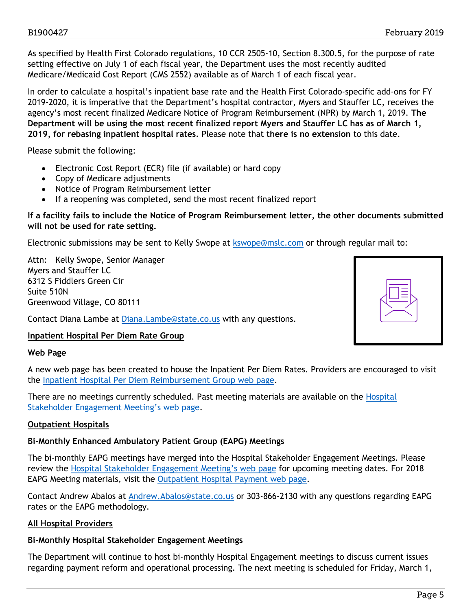As specified by Health First Colorado regulations, 10 CCR 2505-10, Section 8.300.5, for the purpose of rate setting effective on July 1 of each fiscal year, the Department uses the most recently audited Medicare/Medicaid Cost Report (CMS 2552) available as of March 1 of each fiscal year.

In order to calculate a hospital's inpatient base rate and the Health First Colorado-specific add-ons for FY 2019-2020, it is imperative that the Department's hospital contractor, Myers and Stauffer LC, receives the agency's most recent finalized Medicare Notice of Program Reimbursement (NPR) by March 1, 2019. **The Department will be using the most recent finalized report Myers and Stauffer LC has as of March 1, 2019, for rebasing inpatient hospital rates.** Please note that **there is no extension** to this date.

Please submit the following:

- Electronic Cost Report (ECR) file (if available) or hard copy
- Copy of Medicare adjustments
- Notice of Program Reimbursement letter
- If a reopening was completed, send the most recent finalized report

#### **If a facility fails to include the Notice of Program Reimbursement letter, the other documents submitted will not be used for rate setting.**

Electronic submissions may be sent to Kelly Swope at [kswope@mslc.com](mailto:kswope@mslc.com) or through regular mail to:

Attn: Kelly Swope, Senior Manager Myers and Stauffer LC 6312 S Fiddlers Green Cir Suite 510N Greenwood Village, CO 80111

Contact Diana Lambe at [Diana.Lambe@state.co.us](mailto:diana.lambe@state.co.us) with any questions.



#### **Inpatient Hospital Per Diem Rate Group**

#### **Web Page**

A new web page has been created to house the Inpatient Per Diem Rates. Providers are encouraged to visit the [Inpatient Hospital Per Diem Reimbursement Group web page.](https://www.colorado.gov/pacific/hcpf/inpatient-hospital-diem-reimbursement-group)

There are no meetings currently scheduled. Past meeting materials are available on the [Hospital](https://www.colorado.gov/pacific/hcpf/hospital-stakeholder-engagement-meetings)  [Stakeholder Engagement Meeting's web page.](https://www.colorado.gov/pacific/hcpf/hospital-stakeholder-engagement-meetings)

#### **Outpatient Hospitals**

#### **Bi-Monthly Enhanced Ambulatory Patient Group (EAPG) Meetings**

The bi-monthly EAPG meetings have merged into the Hospital Stakeholder Engagement Meetings. Please review the [Hospital Stakeholder Engagement Meeting's web page](https://www.colorado.gov/pacific/hcpf/hospital-stakeholder-engagement-meetings) for upcoming meeting dates. For 2018 EAPG Meeting materials, visit the [Outpatient Hospital Payment](https://www.colorado.gov/pacific/hcpf/outpatient-hospital-payment) web page.

Contact Andrew Abalos at [Andrew.Abalos@state.co.us](mailto:Andrew.Abalos@state.co.us) or 303-866-2130 with any questions regarding EAPG rates or the EAPG methodology.

#### **All Hospital Providers**

#### **Bi-Monthly Hospital Stakeholder Engagement Meetings**

The Department will continue to host bi-monthly Hospital Engagement meetings to discuss current issues regarding payment reform and operational processing. The next meeting is scheduled for Friday, March 1,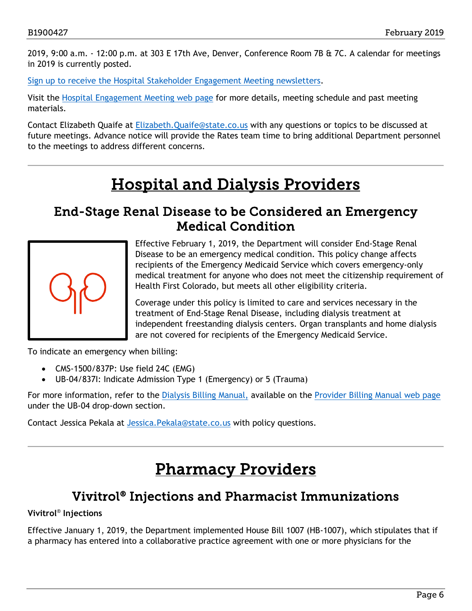2019, 9:00 a.m. - 12:00 p.m. at 303 E 17th Ave, Denver, Conference Room 7B & 7C. A calendar for meetings in 2019 is currently posted.

[Sign up to receive the Hospital Stakeholder Engagement Meeting newsletters.](https://visitor.r20.constantcontact.com/manage/optin?v=001HfxrbpGNWZ0lZnPp6t3PG2s9XPNl8ZvgFdjsKvSnhIy8z9JmHyp6DeoLJ3saT6x0SeqRR1ub149uoXxe1ok4jTzfMSQ0BN7S5vcLiRO7gdY%3D)

Visit the [Hospital Engagement Meeting web page](https://www.colorado.gov/pacific/hcpf/hospital-stakeholder-engagement-meetings) for more details, meeting schedule and past meeting materials.

Contact Elizabeth Quaife at [Elizabeth.Quaife@state.co.us](mailto:Elizabeth.Quaife@state.co.us) with any questions or topics to be discussed at future meetings. Advance notice will provide the Rates team time to bring additional Department personnel to the meetings to address different concerns.

# Hospital and Dialysis Providers

### <span id="page-5-2"></span><span id="page-5-0"></span>End-Stage Renal Disease to be Considered an Emergency Medical Condition



Effective February 1, 2019, the Department will consider End-Stage Renal Disease to be an emergency medical condition. This policy change affects recipients of the Emergency Medicaid Service which covers emergency-only medical treatment for anyone who does not meet the citizenship requirement of Health First Colorado, but meets all other eligibility criteria.

Coverage under this policy is limited to care and services necessary in the treatment of End-Stage Renal Disease, including dialysis treatment at independent freestanding dialysis centers. Organ transplants and home dialysis are not covered for recipients of the Emergency Medicaid Service.

To indicate an emergency when billing:

- CMS-1500/837P: Use field 24C (EMG)
- UB-04/837I: Indicate Admission Type 1 (Emergency) or 5 (Trauma)

For more information, refer to the [Dialysis Billing Manual,](https://www.colorado.gov/pacific/sites/default/files/UB-04_Dialysis%20v1_4.pdf) available on the [Provider Billing Manual web page](https://www.colorado.gov/hcpf/billing-manuals) under the UB-04 drop-down section.

<span id="page-5-3"></span>Contact Jessica Pekala at Jessica. Pekala@state.co.us with policy questions.

# Pharmacy Providers

### Vivitrol® Injections and Pharmacist Immunizations

#### <span id="page-5-1"></span>**Vivitrol**® **Injections**

Effective January 1, 2019, the Department implemented House Bill 1007 (HB-1007), which stipulates that if a pharmacy has entered into a collaborative practice agreement with one or more physicians for the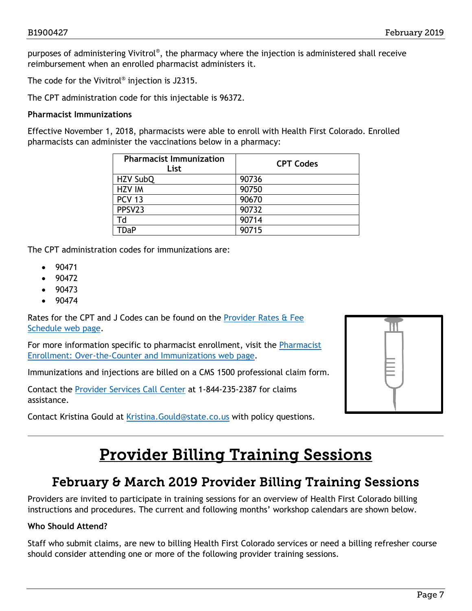purposes of administering Vivitrol®, the pharmacy where the injection is administered shall receive reimbursement when an enrolled pharmacist administers it.

The code for the Vivitrol® injection is J2315.

The CPT administration code for this injectable is 96372.

#### **Pharmacist Immunizations**

Effective November 1, 2018, pharmacists were able to enroll with Health First Colorado. Enrolled pharmacists can administer the vaccinations below in a pharmacy:

| <b>Pharmacist Immunization</b><br>List | <b>CPT Codes</b> |
|----------------------------------------|------------------|
| HZV SubQ                               | 90736            |
| <b>HZV IM</b>                          | 90750            |
| <b>PCV 13</b>                          | 90670            |
| PPSV23                                 | 90732            |
| Td                                     | 90714            |
| TDaP                                   | 90715            |

The CPT administration codes for immunizations are:

- 90471
- 90472
- 90473
- 90474

Rates for the CPT and J Codes can be found on the Provider Rates & Fee [Schedule web page.](https://www.colorado.gov/pacific/hcpf/provider-rates-fee-schedule)

For more information specific to pharmacist enrollment, visit the [Pharmacist](https://www.colorado.gov/pacific/hcpf/otc-immunizations)  [Enrollment: Over-the-Counter and Immunizations web page.](https://www.colorado.gov/pacific/hcpf/otc-immunizations)

Immunizations and injections are billed on a CMS 1500 professional claim form.

Contact the [Provider Services Call Center](https://www.colorado.gov/pacific/sites/default/files/Provider%20Call%20Center%20Cheat%20Sheet.pdf) at 1-844-235-2387 for claims assistance.

<span id="page-6-1"></span>Contact Kristina Gould at [Kristina.Gould@state.co.us](mailto:Kristina.Gould@state.co.us) with policy questions.

| M |  |
|---|--|
|   |  |
|   |  |
|   |  |
|   |  |

## Provider Billing Training Sessions

### February & March 2019 Provider Billing Training Sessions

<span id="page-6-0"></span>Providers are invited to participate in training sessions for an overview of Health First Colorado billing instructions and procedures. The current and following months' workshop calendars are shown below.

#### **Who Should Attend?**

Staff who submit claims, are new to billing Health First Colorado services or need a billing refresher course should consider attending one or more of the following provider training sessions.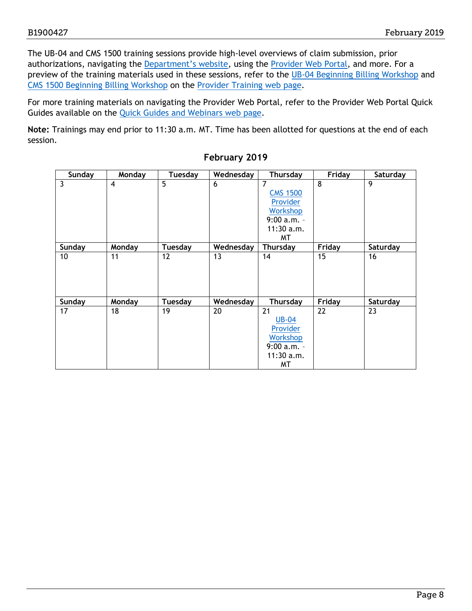The UB-04 and CMS 1500 training sessions provide high-level overviews of claim submission, prior authorizations, navigating the [Department's website,](https://www.colorado.gov/hcpf/) using the [Provider Web Portal,](https://colorado-hcp-portal.xco.dcs-usps.com/hcp/provider/Home/tabid/135/Default.aspx) and more. For a preview of the training materials used in these sessions, refer to the [UB-04 Beginning](https://www.colorado.gov/pacific/sites/default/files/2018%20Institutional%20Beginning%20Billing%20Workshop%20UB-04%20vers%201.6.pdf) Billing Workshop and [CMS 1500 Beginning Billing Workshop](https://www.colorado.gov/pacific/sites/default/files/2018%20CMS%20Beginning%20Billing%20011218%20Ver%201.7.pdf) on the [Provider Training web page.](https://www.colorado.gov/pacific/hcpf/provider-training)

For more training materials on navigating the Provider Web Portal, refer to the Provider Web Portal Quick Guides available on the [Quick Guides and Webinars web page.](https://www.colorado.gov/hcpf/interchange-resources)

**Note:** Trainings may end prior to 11:30 a.m. MT. Time has been allotted for questions at the end of each session.

| Sunday          | Monday           | Tuesday        | Wednesday | <b>Thursday</b> | Friday | Saturday |
|-----------------|------------------|----------------|-----------|-----------------|--------|----------|
| 3               | $\boldsymbol{A}$ | 5              | 6         | 7               | 8      | 9        |
|                 |                  |                |           | <b>CMS 1500</b> |        |          |
|                 |                  |                |           | Provider        |        |          |
|                 |                  |                |           | <b>Workshop</b> |        |          |
|                 |                  |                |           | $9:00 a.m. -$   |        |          |
|                 |                  |                |           | $11:30$ a.m.    |        |          |
|                 |                  |                |           | МT              |        |          |
| Sunday          | Monday           | <b>Tuesday</b> | Wednesday | <b>Thursday</b> | Friday | Saturday |
| 10 <sup>°</sup> | 11               | 12             | 13        | 14              | 15     | 16       |
|                 |                  |                |           |                 |        |          |
|                 |                  |                |           |                 |        |          |
|                 |                  |                |           |                 |        |          |
|                 |                  |                |           |                 |        |          |
| Sunday          | Monday           | <b>Tuesday</b> | Wednesday | <b>Thursday</b> | Friday | Saturday |
| 17              | 18               | 19             | 20        | 21              | 22     | 23       |
|                 |                  |                |           | <b>UB-04</b>    |        |          |
|                 |                  |                |           | Provider        |        |          |
|                 |                  |                |           | <b>Workshop</b> |        |          |
|                 |                  |                |           | $9:00 a.m. -$   |        |          |
|                 |                  |                |           | $11:30$ a.m.    |        |          |
|                 |                  |                |           | МT              |        |          |

#### **February 2019**